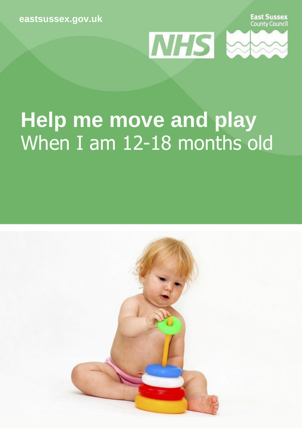**[eastsussex.gov.uk](http://eastsussex.gov.uk/)**





## **Help me move and play** When I am 12-18 months old

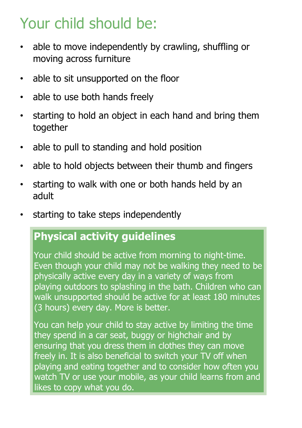### Your child should be:

- able to move independently by crawling, shuffling or moving across furniture
- able to sit unsupported on the floor
- able to use both hands freely
- starting to hold an object in each hand and bring them together
- able to pull to standing and hold position
- able to hold objects between their thumb and fingers
- starting to walk with one or both hands held by an adult
- starting to take steps independently

### **Physical activity guidelines**

Your child should be active from morning to night-time. Even though your child may not be walking they need to be physically active every day in a variety of ways from playing outdoors to splashing in the bath. Children who can walk unsupported should be active for at least 180 minutes (3 hours) every day. More is better.

You can help your child to stay active by limiting the time they spend in a car seat, buggy or highchair and by ensuring that you dress them in clothes they can move freely in. It is also beneficial to switch your TV off when playing and eating together and to consider how often you watch TV or use your mobile, as your child learns from and likes to copy what you do.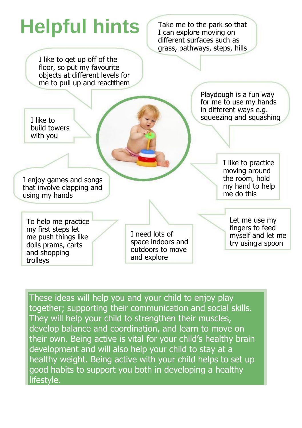# **Helpful hints** Take me to the park so that

I can explore moving on different surfaces such as grass, pathways, steps, hills

I like to get up off of the floor, so put my favourite objects at different levels for me to pull up and reachthem

> Playdough is a fun way for me to use my hands in different ways e.g. squeezing and squashing

I enjoy games and songs that involve clapping and using my hands

I like to build towers with you

> I like to practice moving around the room, hold my hand to help me do this

To help me practice my first steps let me push things like dolls prams, carts and shopping trolleys

I need lots of space indoors and outdoors to move and explore

Let me use my fingers to feed myself and let me try using a spoon

These ideas will help you and your child to enjoy play together; supporting their communication and social skills. They will help your child to strengthen their muscles, develop balance and coordination, and learn to move on their own. Being active is vital for your child's healthy brain development and will also help your child to stay at a healthy weight. Being active with your child helps to set up good habits to support you both in developing a healthy lifestyle.